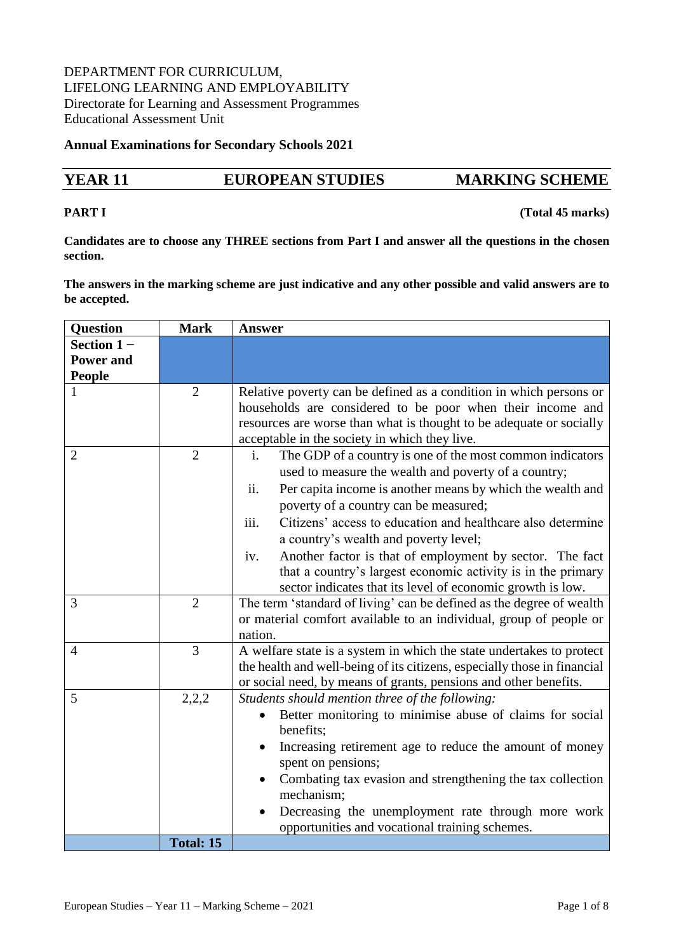## DEPARTMENT FOR CURRICULUM, LIFELONG LEARNING AND EMPLOYABILITY Directorate for Learning and Assessment Programmes Educational Assessment Unit

### **Annual Examinations for Secondary Schools 2021**

# **YEAR 11 EUROPEAN STUDIES MARKING SCHEME**

### **PART I** (Total 45 marks)

**Candidates are to choose any THREE sections from Part I and answer all the questions in the chosen section.**

**The answers in the marking scheme are just indicative and any other possible and valid answers are to be accepted.**

| Question         | <b>Mark</b>      | <b>Answer</b>                                                                                                                                                                                                                                                                                                                                                                                                                                                                                                                                                      |
|------------------|------------------|--------------------------------------------------------------------------------------------------------------------------------------------------------------------------------------------------------------------------------------------------------------------------------------------------------------------------------------------------------------------------------------------------------------------------------------------------------------------------------------------------------------------------------------------------------------------|
| Section $1 -$    |                  |                                                                                                                                                                                                                                                                                                                                                                                                                                                                                                                                                                    |
| <b>Power and</b> |                  |                                                                                                                                                                                                                                                                                                                                                                                                                                                                                                                                                                    |
| <b>People</b>    |                  |                                                                                                                                                                                                                                                                                                                                                                                                                                                                                                                                                                    |
| 1                | $\overline{2}$   | Relative poverty can be defined as a condition in which persons or<br>households are considered to be poor when their income and<br>resources are worse than what is thought to be adequate or socially<br>acceptable in the society in which they live.                                                                                                                                                                                                                                                                                                           |
| $\overline{2}$   | $\overline{2}$   | The GDP of a country is one of the most common indicators<br>$\mathbf{i}$ .<br>used to measure the wealth and poverty of a country;<br>Per capita income is another means by which the wealth and<br>ii.<br>poverty of a country can be measured;<br>Citizens' access to education and healthcare also determine<br>iii.<br>a country's wealth and poverty level;<br>Another factor is that of employment by sector. The fact<br>iv.<br>that a country's largest economic activity is in the primary<br>sector indicates that its level of economic growth is low. |
| 3                | $\overline{2}$   | The term 'standard of living' can be defined as the degree of wealth<br>or material comfort available to an individual, group of people or<br>nation.                                                                                                                                                                                                                                                                                                                                                                                                              |
| $\overline{4}$   | $\overline{3}$   | A welfare state is a system in which the state undertakes to protect<br>the health and well-being of its citizens, especially those in financial<br>or social need, by means of grants, pensions and other benefits.                                                                                                                                                                                                                                                                                                                                               |
| 5                | 2,2,2            | Students should mention three of the following:<br>Better monitoring to minimise abuse of claims for social<br>benefits;<br>Increasing retirement age to reduce the amount of money<br>spent on pensions;<br>Combating tax evasion and strengthening the tax collection<br>mechanism;<br>Decreasing the unemployment rate through more work<br>opportunities and vocational training schemes.                                                                                                                                                                      |
|                  | <b>Total: 15</b> |                                                                                                                                                                                                                                                                                                                                                                                                                                                                                                                                                                    |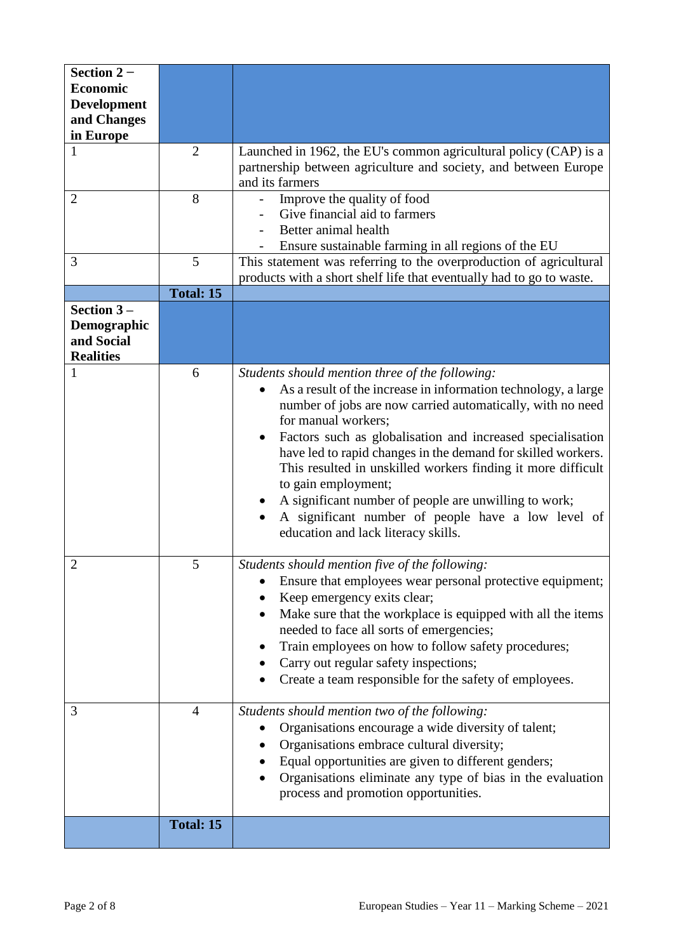| Section $2-$<br><b>Economic</b><br><b>Development</b><br>and Changes<br>in Europe |                  |                                                                                                                                                                                                                                                                                                                                                                                                                                                                                                                                                                                   |
|-----------------------------------------------------------------------------------|------------------|-----------------------------------------------------------------------------------------------------------------------------------------------------------------------------------------------------------------------------------------------------------------------------------------------------------------------------------------------------------------------------------------------------------------------------------------------------------------------------------------------------------------------------------------------------------------------------------|
| 1                                                                                 | $\overline{2}$   | Launched in 1962, the EU's common agricultural policy (CAP) is a<br>partnership between agriculture and society, and between Europe<br>and its farmers                                                                                                                                                                                                                                                                                                                                                                                                                            |
| $\overline{2}$                                                                    | 8                | Improve the quality of food<br>Give financial aid to farmers<br>Better animal health<br>Ensure sustainable farming in all regions of the EU                                                                                                                                                                                                                                                                                                                                                                                                                                       |
| 3                                                                                 | 5                | This statement was referring to the overproduction of agricultural<br>products with a short shelf life that eventually had to go to waste.                                                                                                                                                                                                                                                                                                                                                                                                                                        |
| Section $3-$<br>Demographic<br>and Social                                         | <b>Total: 15</b> |                                                                                                                                                                                                                                                                                                                                                                                                                                                                                                                                                                                   |
| <b>Realities</b><br>1                                                             | 6                | Students should mention three of the following:<br>As a result of the increase in information technology, a large<br>number of jobs are now carried automatically, with no need<br>for manual workers;<br>Factors such as globalisation and increased specialisation<br>have led to rapid changes in the demand for skilled workers.<br>This resulted in unskilled workers finding it more difficult<br>to gain employment;<br>A significant number of people are unwilling to work;<br>A significant number of people have a low level of<br>education and lack literacy skills. |
| $\overline{2}$                                                                    | 5                | Students should mention five of the following:<br>Ensure that employees wear personal protective equipment;<br>Keep emergency exits clear;<br>Make sure that the workplace is equipped with all the items<br>needed to face all sorts of emergencies;<br>Train employees on how to follow safety procedures;<br>Carry out regular safety inspections;<br>Create a team responsible for the safety of employees.                                                                                                                                                                   |
| 3                                                                                 | 4                | Students should mention two of the following:<br>Organisations encourage a wide diversity of talent;<br>Organisations embrace cultural diversity;<br>Equal opportunities are given to different genders;<br>Organisations eliminate any type of bias in the evaluation<br>process and promotion opportunities.                                                                                                                                                                                                                                                                    |
|                                                                                   | <b>Total: 15</b> |                                                                                                                                                                                                                                                                                                                                                                                                                                                                                                                                                                                   |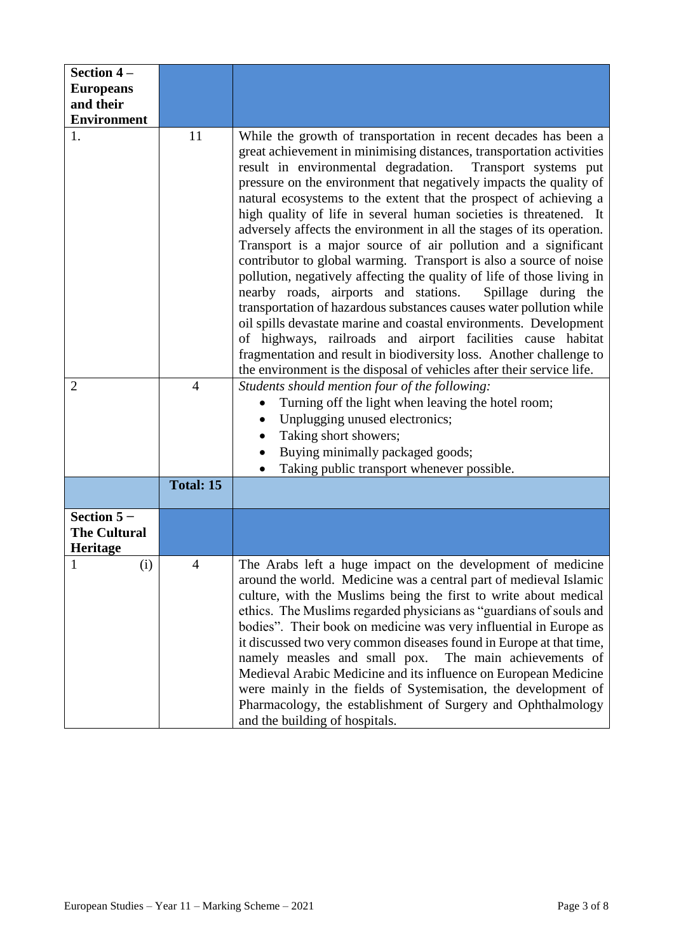| Section 4-                                      |                  |                                                                                                                                                                                                                                                                                                                                                                                                                                                                                                                                                                                                                                                                                                                                                                                                                                                                                                                                                                                                                                                                                                                                               |
|-------------------------------------------------|------------------|-----------------------------------------------------------------------------------------------------------------------------------------------------------------------------------------------------------------------------------------------------------------------------------------------------------------------------------------------------------------------------------------------------------------------------------------------------------------------------------------------------------------------------------------------------------------------------------------------------------------------------------------------------------------------------------------------------------------------------------------------------------------------------------------------------------------------------------------------------------------------------------------------------------------------------------------------------------------------------------------------------------------------------------------------------------------------------------------------------------------------------------------------|
| <b>Europeans</b>                                |                  |                                                                                                                                                                                                                                                                                                                                                                                                                                                                                                                                                                                                                                                                                                                                                                                                                                                                                                                                                                                                                                                                                                                                               |
| and their                                       |                  |                                                                                                                                                                                                                                                                                                                                                                                                                                                                                                                                                                                                                                                                                                                                                                                                                                                                                                                                                                                                                                                                                                                                               |
| <b>Environment</b>                              |                  |                                                                                                                                                                                                                                                                                                                                                                                                                                                                                                                                                                                                                                                                                                                                                                                                                                                                                                                                                                                                                                                                                                                                               |
| 1.                                              | 11               | While the growth of transportation in recent decades has been a<br>great achievement in minimising distances, transportation activities<br>result in environmental degradation.<br>Transport systems put<br>pressure on the environment that negatively impacts the quality of<br>natural ecosystems to the extent that the prospect of achieving a<br>high quality of life in several human societies is threatened. It<br>adversely affects the environment in all the stages of its operation.<br>Transport is a major source of air pollution and a significant<br>contributor to global warming. Transport is also a source of noise<br>pollution, negatively affecting the quality of life of those living in<br>nearby roads, airports and stations.<br>Spillage during the<br>transportation of hazardous substances causes water pollution while<br>oil spills devastate marine and coastal environments. Development<br>of highways, railroads and airport facilities cause habitat<br>fragmentation and result in biodiversity loss. Another challenge to<br>the environment is the disposal of vehicles after their service life. |
| 2                                               | 4                | Students should mention four of the following:<br>Turning off the light when leaving the hotel room;<br>Unplugging unused electronics;<br>Taking short showers;<br>Buying minimally packaged goods;<br>Taking public transport whenever possible.                                                                                                                                                                                                                                                                                                                                                                                                                                                                                                                                                                                                                                                                                                                                                                                                                                                                                             |
|                                                 | <b>Total: 15</b> |                                                                                                                                                                                                                                                                                                                                                                                                                                                                                                                                                                                                                                                                                                                                                                                                                                                                                                                                                                                                                                                                                                                                               |
| Section $5-$<br><b>The Cultural</b><br>Heritage |                  |                                                                                                                                                                                                                                                                                                                                                                                                                                                                                                                                                                                                                                                                                                                                                                                                                                                                                                                                                                                                                                                                                                                                               |
| (i)<br>1                                        | 4                | The Arabs left a huge impact on the development of medicine<br>around the world. Medicine was a central part of medieval Islamic<br>culture, with the Muslims being the first to write about medical<br>ethics. The Muslims regarded physicians as "guardians of souls and<br>bodies". Their book on medicine was very influential in Europe as<br>it discussed two very common diseases found in Europe at that time,<br>namely measles and small pox. The main achievements of<br>Medieval Arabic Medicine and its influence on European Medicine<br>were mainly in the fields of Systemisation, the development of<br>Pharmacology, the establishment of Surgery and Ophthalmology<br>and the building of hospitals.                                                                                                                                                                                                                                                                                                                                                                                                                       |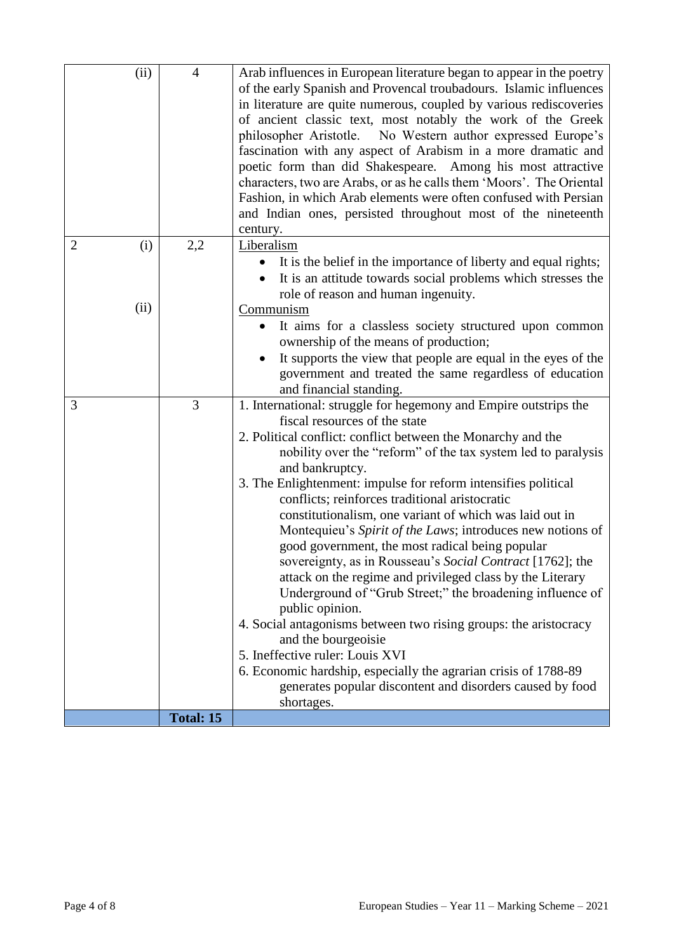| (ii)                  | $\overline{4}$   | Arab influences in European literature began to appear in the poetry                                                                     |
|-----------------------|------------------|------------------------------------------------------------------------------------------------------------------------------------------|
|                       |                  | of the early Spanish and Provencal troubadours. Islamic influences<br>in literature are quite numerous, coupled by various rediscoveries |
|                       |                  | of ancient classic text, most notably the work of the Greek                                                                              |
|                       |                  | philosopher Aristotle. No Western author expressed Europe's                                                                              |
|                       |                  | fascination with any aspect of Arabism in a more dramatic and                                                                            |
|                       |                  | poetic form than did Shakespeare. Among his most attractive<br>characters, two are Arabs, or as he calls them 'Moors'. The Oriental      |
|                       |                  | Fashion, in which Arab elements were often confused with Persian                                                                         |
|                       |                  | and Indian ones, persisted throughout most of the nineteenth                                                                             |
|                       |                  | century.                                                                                                                                 |
| $\overline{2}$<br>(i) | 2,2              | Liberalism                                                                                                                               |
|                       |                  | • It is the belief in the importance of liberty and equal rights;                                                                        |
|                       |                  | It is an attitude towards social problems which stresses the<br>role of reason and human ingenuity.                                      |
| (ii)                  |                  | Communism                                                                                                                                |
|                       |                  | It aims for a classless society structured upon common                                                                                   |
|                       |                  | ownership of the means of production;                                                                                                    |
|                       |                  | It supports the view that people are equal in the eyes of the                                                                            |
|                       |                  | government and treated the same regardless of education<br>and financial standing.                                                       |
| 3                     | 3                | 1. International: struggle for hegemony and Empire outstrips the                                                                         |
|                       |                  | fiscal resources of the state                                                                                                            |
|                       |                  | 2. Political conflict: conflict between the Monarchy and the                                                                             |
|                       |                  | nobility over the "reform" of the tax system led to paralysis                                                                            |
|                       |                  | and bankruptcy.<br>3. The Enlightenment: impulse for reform intensifies political                                                        |
|                       |                  | conflicts; reinforces traditional aristocratic                                                                                           |
|                       |                  | constitutionalism, one variant of which was laid out in                                                                                  |
|                       |                  | Montequieu's Spirit of the Laws; introduces new notions of                                                                               |
|                       |                  | good government, the most radical being popular                                                                                          |
|                       |                  | sovereignty, as in Rousseau's Social Contract [1762]; the<br>attack on the regime and privileged class by the Literary                   |
|                       |                  | Underground of "Grub Street;" the broadening influence of                                                                                |
|                       |                  | public opinion.                                                                                                                          |
|                       |                  | 4. Social antagonisms between two rising groups: the aristocracy                                                                         |
|                       |                  | and the bourgeoisie<br>5. Ineffective ruler: Louis XVI                                                                                   |
|                       |                  | 6. Economic hardship, especially the agrarian crisis of 1788-89                                                                          |
|                       |                  | generates popular discontent and disorders caused by food                                                                                |
|                       |                  | shortages.                                                                                                                               |
|                       | <b>Total: 15</b> |                                                                                                                                          |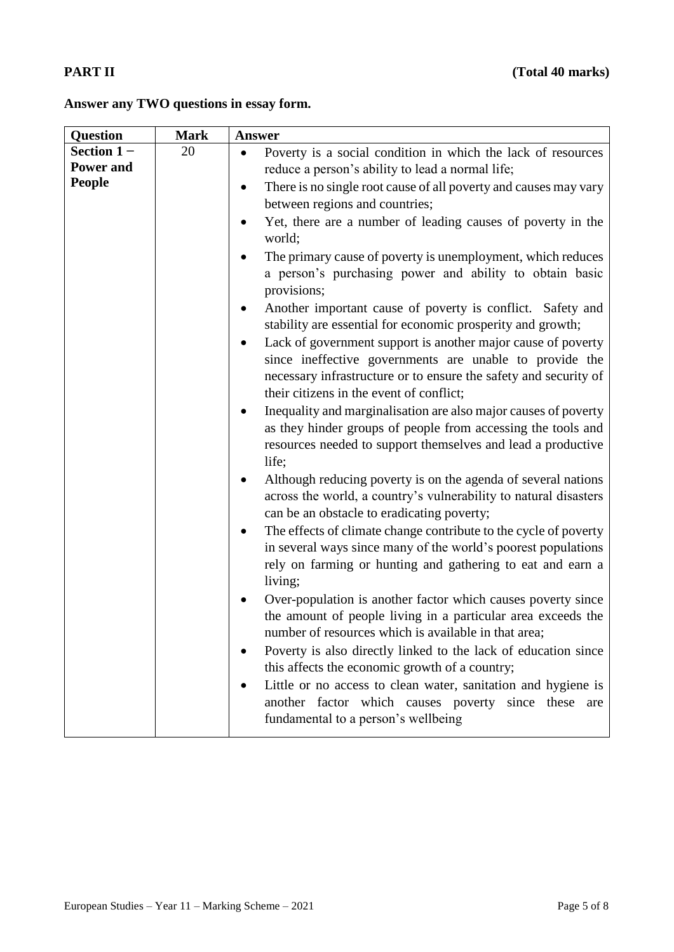# **PART II** (Total 40 marks)

# **Answer any TWO questions in essay form.**

| <b>Question</b>  | <b>Mark</b> | <b>Answer</b>                                                                                                                                                                                                                                          |
|------------------|-------------|--------------------------------------------------------------------------------------------------------------------------------------------------------------------------------------------------------------------------------------------------------|
| Section $1 -$    | 20          | Poverty is a social condition in which the lack of resources                                                                                                                                                                                           |
| <b>Power and</b> |             | reduce a person's ability to lead a normal life;                                                                                                                                                                                                       |
| <b>People</b>    |             | There is no single root cause of all poverty and causes may vary<br>$\bullet$                                                                                                                                                                          |
|                  |             | between regions and countries;                                                                                                                                                                                                                         |
|                  |             | Yet, there are a number of leading causes of poverty in the<br>world;                                                                                                                                                                                  |
|                  |             | The primary cause of poverty is unemployment, which reduces<br>a person's purchasing power and ability to obtain basic<br>provisions;                                                                                                                  |
|                  |             | Another important cause of poverty is conflict. Safety and<br>stability are essential for economic prosperity and growth;                                                                                                                              |
|                  |             | Lack of government support is another major cause of poverty<br>since ineffective governments are unable to provide the<br>necessary infrastructure or to ensure the safety and security of<br>their citizens in the event of conflict;                |
|                  |             | Inequality and marginalisation are also major causes of poverty<br>as they hinder groups of people from accessing the tools and<br>resources needed to support themselves and lead a productive<br>life;                                               |
|                  |             | Although reducing poverty is on the agenda of several nations<br>across the world, a country's vulnerability to natural disasters<br>can be an obstacle to eradicating poverty;                                                                        |
|                  |             | The effects of climate change contribute to the cycle of poverty<br>$\bullet$<br>in several ways since many of the world's poorest populations<br>rely on farming or hunting and gathering to eat and earn a<br>living;                                |
|                  |             | Over-population is another factor which causes poverty since<br>the amount of people living in a particular area exceeds the<br>number of resources which is available in that area;<br>Poverty is also directly linked to the lack of education since |
|                  |             | this affects the economic growth of a country;<br>Little or no access to clean water, sanitation and hygiene is<br>another factor which causes poverty since these<br>are<br>fundamental to a person's wellbeing                                       |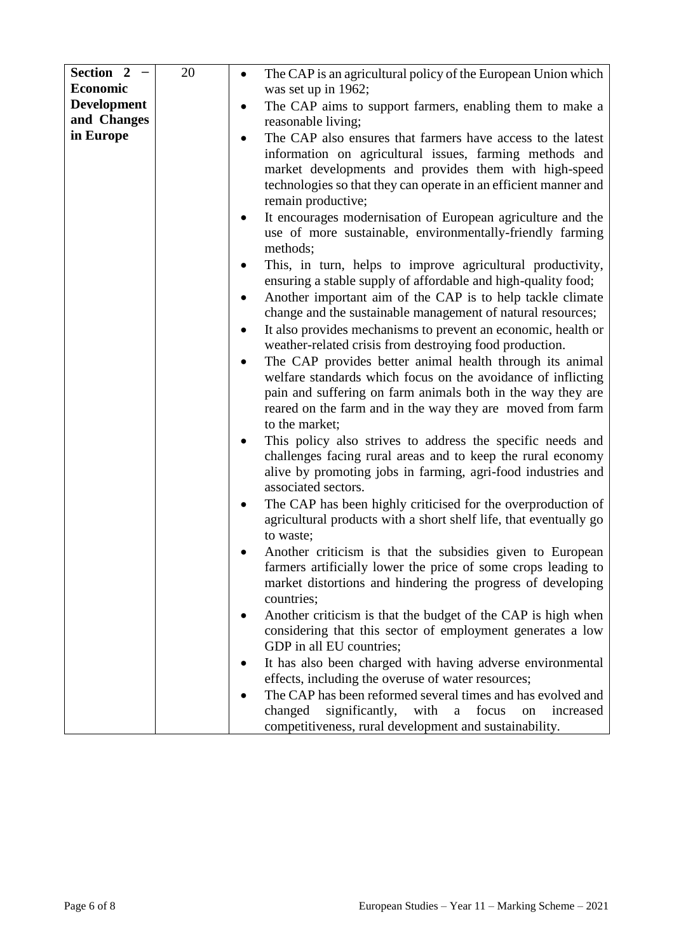| Section 2 -        | 20 |           |                                                                    |
|--------------------|----|-----------|--------------------------------------------------------------------|
|                    |    | $\bullet$ | The CAP is an agricultural policy of the European Union which      |
| <b>Economic</b>    |    |           | was set up in 1962;                                                |
| <b>Development</b> |    | $\bullet$ | The CAP aims to support farmers, enabling them to make a           |
| and Changes        |    |           | reasonable living;                                                 |
| in Europe          |    | $\bullet$ | The CAP also ensures that farmers have access to the latest        |
|                    |    |           | information on agricultural issues, farming methods and            |
|                    |    |           | market developments and provides them with high-speed              |
|                    |    |           | technologies so that they can operate in an efficient manner and   |
|                    |    |           | remain productive;                                                 |
|                    |    |           |                                                                    |
|                    |    |           | It encourages modernisation of European agriculture and the        |
|                    |    |           | use of more sustainable, environmentally-friendly farming          |
|                    |    |           | methods;                                                           |
|                    |    | ٠         | This, in turn, helps to improve agricultural productivity,         |
|                    |    |           | ensuring a stable supply of affordable and high-quality food;      |
|                    |    | $\bullet$ | Another important aim of the CAP is to help tackle climate         |
|                    |    |           | change and the sustainable management of natural resources;        |
|                    |    | $\bullet$ | It also provides mechanisms to prevent an economic, health or      |
|                    |    |           | weather-related crisis from destroying food production.            |
|                    |    | $\bullet$ | The CAP provides better animal health through its animal           |
|                    |    |           | welfare standards which focus on the avoidance of inflicting       |
|                    |    |           |                                                                    |
|                    |    |           | pain and suffering on farm animals both in the way they are        |
|                    |    |           | reared on the farm and in the way they are moved from farm         |
|                    |    |           | to the market;                                                     |
|                    |    |           | This policy also strives to address the specific needs and         |
|                    |    |           | challenges facing rural areas and to keep the rural economy        |
|                    |    |           | alive by promoting jobs in farming, agri-food industries and       |
|                    |    |           | associated sectors.                                                |
|                    |    |           | The CAP has been highly criticised for the overproduction of       |
|                    |    |           | agricultural products with a short shelf life, that eventually go  |
|                    |    |           | to waste;                                                          |
|                    |    |           | Another criticism is that the subsidies given to European          |
|                    |    |           | farmers artificially lower the price of some crops leading to      |
|                    |    |           | market distortions and hindering the progress of developing        |
|                    |    |           | countries;                                                         |
|                    |    |           |                                                                    |
|                    |    |           | Another criticism is that the budget of the CAP is high when       |
|                    |    |           | considering that this sector of employment generates a low         |
|                    |    |           | GDP in all EU countries;                                           |
|                    |    |           | It has also been charged with having adverse environmental         |
|                    |    |           | effects, including the overuse of water resources;                 |
|                    |    |           | The CAP has been reformed several times and has evolved and        |
|                    |    |           | significantly,<br>with<br>changed<br>focus<br>increased<br>on<br>a |
|                    |    |           | competitiveness, rural development and sustainability.             |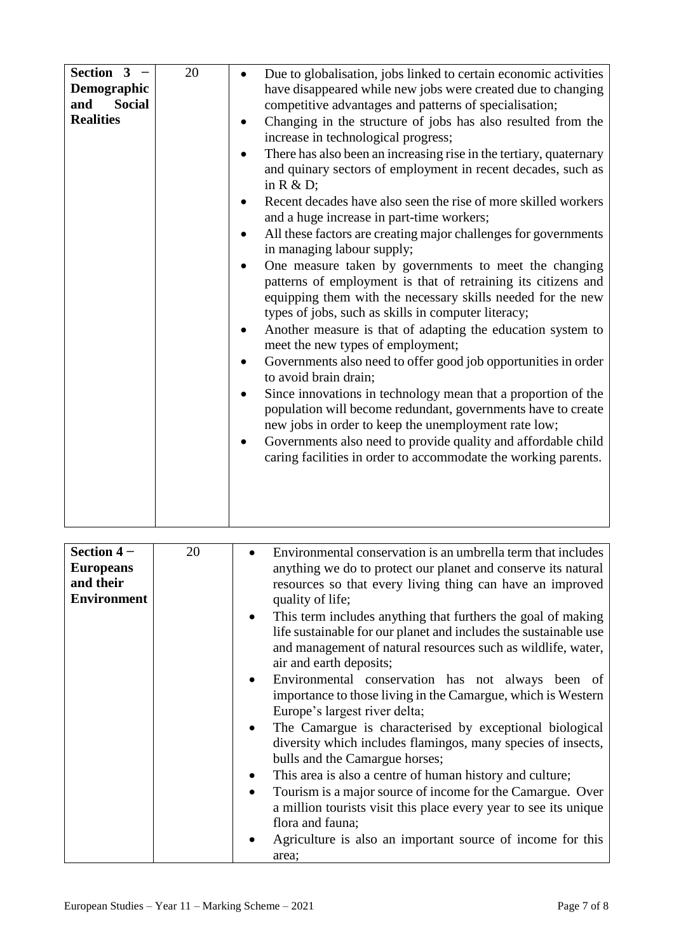| Section $4-$<br><b>Europeans</b><br>and their<br><b>Environment</b> | 20 | Environmental conservation is an umbrella term that includes<br>anything we do to protect our planet and conserve its natural<br>resources so that every living thing can have an improved<br>quality of life;              |
|---------------------------------------------------------------------|----|-----------------------------------------------------------------------------------------------------------------------------------------------------------------------------------------------------------------------------|
|                                                                     |    | This term includes anything that furthers the goal of making<br>life sustainable for our planet and includes the sustainable use<br>and management of natural resources such as wildlife, water,<br>air and earth deposits; |
|                                                                     |    | Environmental conservation has not always been of<br>$\bullet$<br>importance to those living in the Camargue, which is Western<br>Europe's largest river delta;                                                             |
|                                                                     |    | The Camargue is characterised by exceptional biological<br>diversity which includes flamingos, many species of insects,<br>bulls and the Camargue horses;                                                                   |
|                                                                     |    | This area is also a centre of human history and culture;<br>Tourism is a major source of income for the Camargue. Over<br>a million tourists visit this place every year to see its unique<br>flora and fauna;              |
|                                                                     |    | Agriculture is also an important source of income for this<br>area;                                                                                                                                                         |